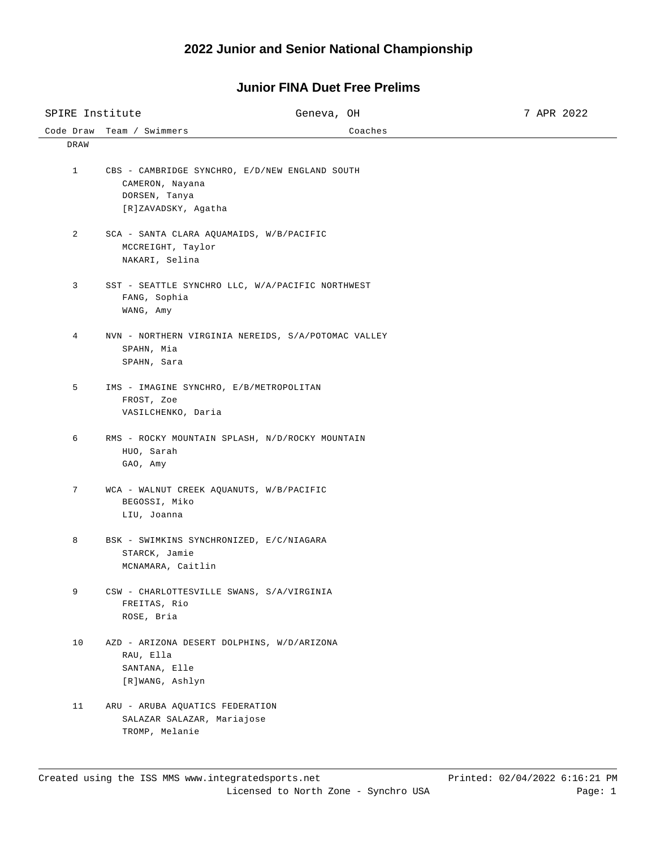#### **2022 Junior and Senior National Championship**

# Code Draw Team / Swimmers Coaches SPIRE Institute  $G$  Geneva, OH 7 APR 2022 DRAW 1 CBS - CAMBRIDGE SYNCHRO, E/D/NEW ENGLAND SOUTH CAMERON, Nayana DORSEN, Tanya [R]ZAVADSKY, Agatha 2 SCA - SANTA CLARA AQUAMAIDS, W/B/PACIFIC MCCREIGHT, Taylor NAKARI, Selina 3 SST - SEATTLE SYNCHRO LLC, W/A/PACIFIC NORTHWEST FANG, Sophia WANG, Amy 4 NVN - NORTHERN VIRGINIA NEREIDS, S/A/POTOMAC VALLEY SPAHN, Mia SPAHN, Sara 5 IMS - IMAGINE SYNCHRO, E/B/METROPOLITAN FROST, Zoe VASILCHENKO, Daria 6 RMS - ROCKY MOUNTAIN SPLASH, N/D/ROCKY MOUNTAIN HUO, Sarah GAO, Amy 7 WCA - WALNUT CREEK AQUANUTS, W/B/PACIFIC BEGOSSI, Miko LIU, Joanna 8 BSK - SWIMKINS SYNCHRONIZED, E/C/NIAGARA STARCK, Jamie MCNAMARA, Caitlin 9 CSW - CHARLOTTESVILLE SWANS, S/A/VIRGINIA FREITAS, Rio ROSE, Bria 10 AZD - ARIZONA DESERT DOLPHINS, W/D/ARIZONA RAU, Ella SANTANA, Elle [R]WANG, Ashlyn 11 ARU - ARUBA AQUATICS FEDERATION SALAZAR SALAZAR, Mariajose TROMP, Melanie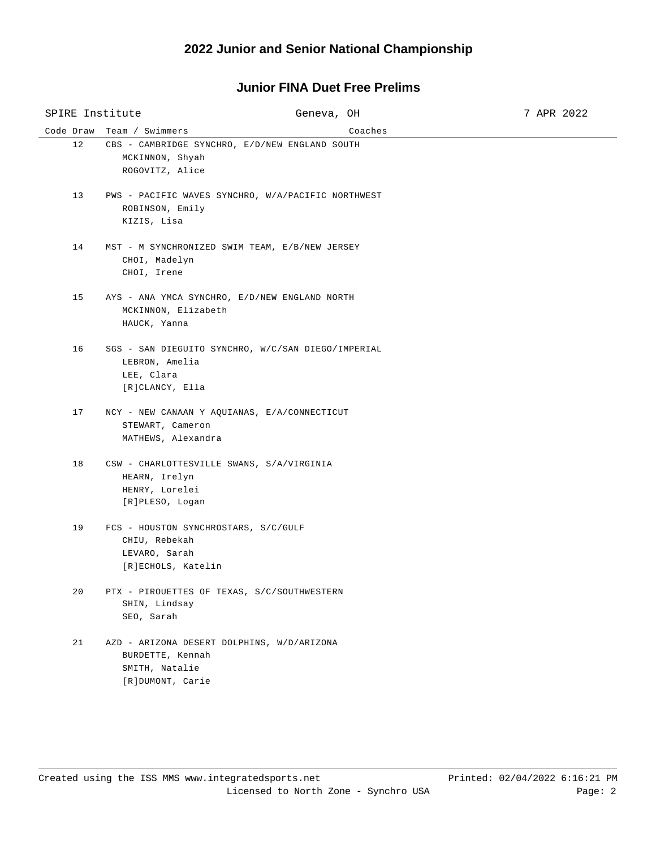| SPIRE Institute |                                                                                              | Geneva, OH                                         | 7 APR 2022 |
|-----------------|----------------------------------------------------------------------------------------------|----------------------------------------------------|------------|
| Code Draw       | Team / Swimmers                                                                              | Coaches                                            |            |
| 12              | MCKINNON, Shyah<br>ROGOVITZ, Alice                                                           | CBS - CAMBRIDGE SYNCHRO, E/D/NEW ENGLAND SOUTH     |            |
| 13              | ROBINSON, Emily<br>KIZIS, Lisa                                                               | PWS - PACIFIC WAVES SYNCHRO, W/A/PACIFIC NORTHWEST |            |
| 14              | CHOI, Madelyn<br>CHOI, Irene                                                                 | MST - M SYNCHRONIZED SWIM TEAM, E/B/NEW JERSEY     |            |
| 15              | MCKINNON, Elizabeth<br>HAUCK, Yanna                                                          | AYS - ANA YMCA SYNCHRO, E/D/NEW ENGLAND NORTH      |            |
| 16              | LEBRON, Amelia<br>LEE, Clara<br>[R]CLANCY, Ella                                              | SGS - SAN DIEGUITO SYNCHRO, W/C/SAN DIEGO/IMPERIAL |            |
| 17              | STEWART, Cameron<br>MATHEWS, Alexandra                                                       | NCY - NEW CANAAN Y AQUIANAS, E/A/CONNECTICUT       |            |
| 18              | HEARN, Irelyn<br>HENRY, Lorelei<br>[R]PLESO, Logan                                           | CSW - CHARLOTTESVILLE SWANS, S/A/VIRGINIA          |            |
| 19              | FCS - HOUSTON SYNCHROSTARS, S/C/GULF<br>CHIU, Rebekah<br>LEVARO, Sarah<br>[R]ECHOLS, Katelin |                                                    |            |
| 20              | SHIN, Lindsay<br>SEO, Sarah                                                                  | PTX - PIROUETTES OF TEXAS, S/C/SOUTHWESTERN        |            |
| 21              | BURDETTE, Kennah<br>SMITH, Natalie<br>[R]DUMONT, Carie                                       | AZD - ARIZONA DESERT DOLPHINS, W/D/ARIZONA         |            |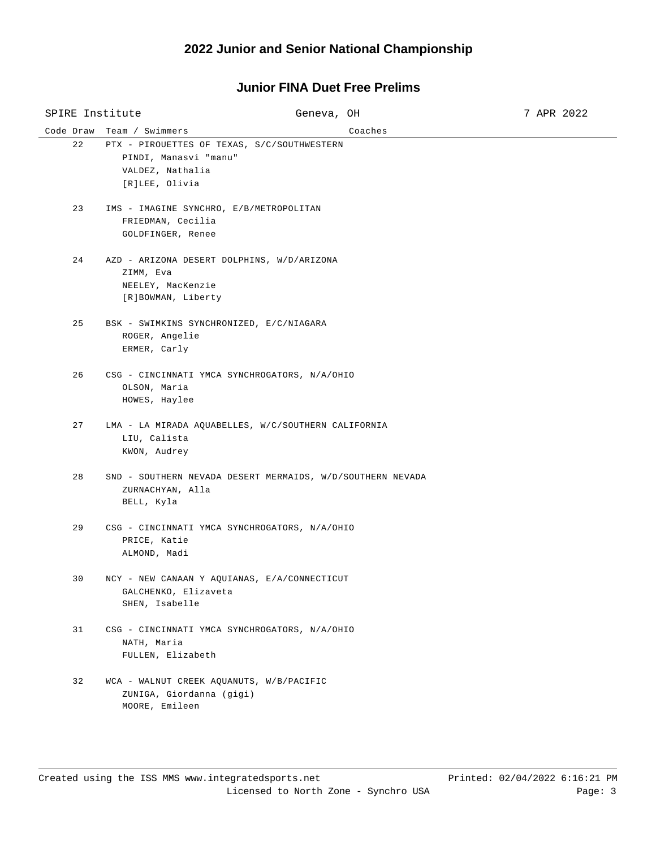# Code Draw Team / Swimmers Coaches SPIRE Institute  $G$  Geneva, OH 3 7 APR 2022 22 PTX - PIROUETTES OF TEXAS, S/C/SOUTHWESTERN PINDI, Manasvi "manu" VALDEZ, Nathalia [R]LEE, Olivia 23 IMS - IMAGINE SYNCHRO, E/B/METROPOLITAN FRIEDMAN, Cecilia GOLDFINGER, Renee 24 AZD - ARIZONA DESERT DOLPHINS, W/D/ARIZONA ZIMM, Eva NEELEY, MacKenzie [R]BOWMAN, Liberty 25 BSK - SWIMKINS SYNCHRONIZED, E/C/NIAGARA ROGER, Angelie ERMER, Carly 26 CSG - CINCINNATI YMCA SYNCHROGATORS, N/A/OHIO OLSON, Maria HOWES, Haylee 27 LMA - LA MIRADA AQUABELLES, W/C/SOUTHERN CALIFORNIA LIU, Calista KWON, Audrey 28 SND - SOUTHERN NEVADA DESERT MERMAIDS, W/D/SOUTHERN NEVADA ZURNACHYAN, Alla BELL, Kyla 29 CSG - CINCINNATI YMCA SYNCHROGATORS, N/A/OHIO PRICE, Katie ALMOND, Madi 30 NCY - NEW CANAAN Y AQUIANAS, E/A/CONNECTICUT GALCHENKO, Elizaveta SHEN, Isabelle 31 CSG - CINCINNATI YMCA SYNCHROGATORS, N/A/OHIO NATH, Maria FULLEN, Elizabeth 32 WCA - WALNUT CREEK AQUANUTS, W/B/PACIFIC ZUNIGA, Giordanna (gigi) MOORE, Emileen